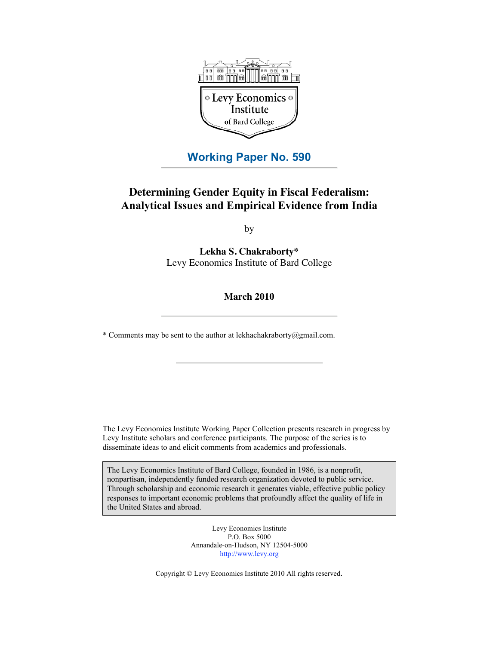

# **Working Paper No. 590**

# **Determining Gender Equity in Fiscal Federalism: Analytical Issues and Empirical Evidence from India**

by

**Lekha S. Chakraborty\*** Levy Economics Institute of Bard College

## **March 2010**

\* Comments may be sent to the author at lekhachakraborty@gmail.com.

The Levy Economics Institute Working Paper Collection presents research in progress by Levy Institute scholars and conference participants. The purpose of the series is to disseminate ideas to and elicit comments from academics and professionals.

The Levy Economics Institute of Bard College, founded in 1986, is a nonprofit, nonpartisan, independently funded research organization devoted to public service. Through scholarship and economic research it generates viable, effective public policy responses to important economic problems that profoundly affect the quality of life in the United States and abroad.

> Levy Economics Institute P.O. Box 5000 Annandale-on-Hudson, NY 12504-5000 http://www.levy.org

Copyright © Levy Economics Institute 2010 All rights reserved.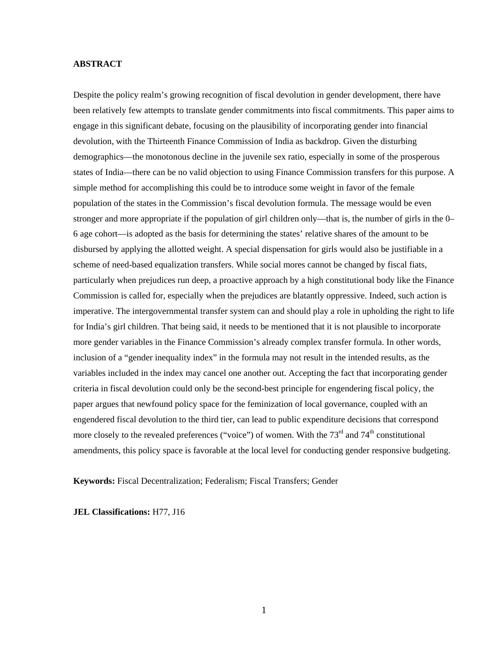#### **ABSTRACT**

Despite the policy realm's growing recognition of fiscal devolution in gender development, there have been relatively few attempts to translate gender commitments into fiscal commitments. This paper aims to engage in this significant debate, focusing on the plausibility of incorporating gender into financial devolution, with the Thirteenth Finance Commission of India as backdrop. Given the disturbing demographics—the monotonous decline in the juvenile sex ratio, especially in some of the prosperous states of India—there can be no valid objection to using Finance Commission transfers for this purpose. A simple method for accomplishing this could be to introduce some weight in favor of the female population of the states in the Commission's fiscal devolution formula. The message would be even stronger and more appropriate if the population of girl children only—that is, the number of girls in the 0– 6 age cohort—is adopted as the basis for determining the states' relative shares of the amount to be disbursed by applying the allotted weight. A special dispensation for girls would also be justifiable in a scheme of need-based equalization transfers. While social mores cannot be changed by fiscal fiats, particularly when prejudices run deep, a proactive approach by a high constitutional body like the Finance Commission is called for, especially when the prejudices are blatantly oppressive. Indeed, such action is imperative. The intergovernmental transfer system can and should play a role in upholding the right to life for India's girl children. That being said, it needs to be mentioned that it is not plausible to incorporate more gender variables in the Finance Commission's already complex transfer formula. In other words, inclusion of a "gender inequality index" in the formula may not result in the intended results, as the variables included in the index may cancel one another out. Accepting the fact that incorporating gender criteria in fiscal devolution could only be the second-best principle for engendering fiscal policy, the paper argues that newfound policy space for the feminization of local governance, coupled with an engendered fiscal devolution to the third tier, can lead to public expenditure decisions that correspond more closely to the revealed preferences ("voice") of women. With the  $73<sup>rd</sup>$  and  $74<sup>th</sup>$  constitutional amendments, this policy space is favorable at the local level for conducting gender responsive budgeting.

**Keywords:** Fiscal Decentralization; Federalism; Fiscal Transfers; Gender

**JEL Classifications:** H77, J16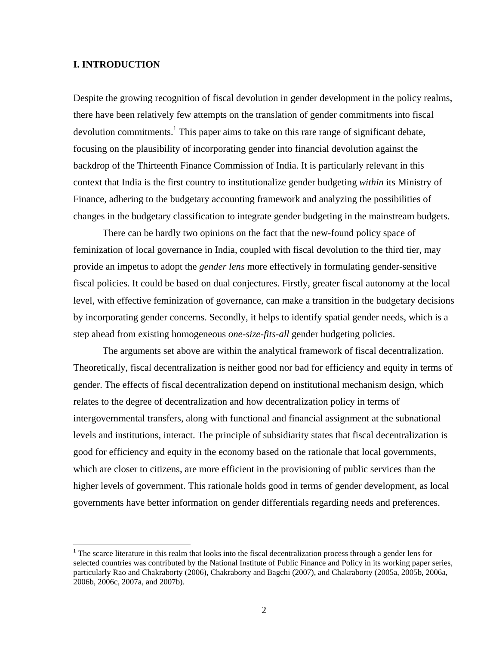## **I. INTRODUCTION**

 $\overline{a}$ 

Despite the growing recognition of fiscal devolution in gender development in the policy realms, there have been relatively few attempts on the translation of gender commitments into fiscal devolution commitments.<sup>1</sup> This paper aims to take on this rare range of significant debate, focusing on the plausibility of incorporating gender into financial devolution against the backdrop of the Thirteenth Finance Commission of India. It is particularly relevant in this context that India is the first country to institutionalize gender budgeting *within* its Ministry of Finance, adhering to the budgetary accounting framework and analyzing the possibilities of changes in the budgetary classification to integrate gender budgeting in the mainstream budgets.

There can be hardly two opinions on the fact that the new-found policy space of feminization of local governance in India, coupled with fiscal devolution to the third tier, may provide an impetus to adopt the *gender lens* more effectively in formulating gender-sensitive fiscal policies. It could be based on dual conjectures. Firstly, greater fiscal autonomy at the local level, with effective feminization of governance, can make a transition in the budgetary decisions by incorporating gender concerns. Secondly, it helps to identify spatial gender needs, which is a step ahead from existing homogeneous *one-size-fits-all* gender budgeting policies.

The arguments set above are within the analytical framework of fiscal decentralization. Theoretically, fiscal decentralization is neither good nor bad for efficiency and equity in terms of gender. The effects of fiscal decentralization depend on institutional mechanism design, which relates to the degree of decentralization and how decentralization policy in terms of intergovernmental transfers, along with functional and financial assignment at the subnational levels and institutions, interact. The principle of subsidiarity states that fiscal decentralization is good for efficiency and equity in the economy based on the rationale that local governments, which are closer to citizens, are more efficient in the provisioning of public services than the higher levels of government. This rationale holds good in terms of gender development, as local governments have better information on gender differentials regarding needs and preferences.

 $1$ <sup>1</sup> The scarce literature in this realm that looks into the fiscal decentralization process through a gender lens for selected countries was contributed by the National Institute of Public Finance and Policy in its working paper series, particularly Rao and Chakraborty (2006), Chakraborty and Bagchi (2007), and Chakraborty (2005a, 2005b, 2006a, 2006b, 2006c, 2007a, and 2007b).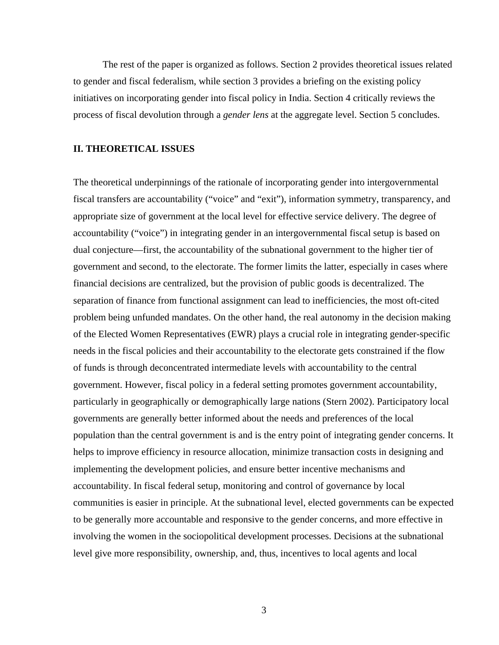The rest of the paper is organized as follows. Section 2 provides theoretical issues related to gender and fiscal federalism, while section 3 provides a briefing on the existing policy initiatives on incorporating gender into fiscal policy in India. Section 4 critically reviews the process of fiscal devolution through a *gender lens* at the aggregate level. Section 5 concludes.

## **II. THEORETICAL ISSUES**

The theoretical underpinnings of the rationale of incorporating gender into intergovernmental fiscal transfers are accountability ("voice" and "exit"), information symmetry, transparency, and appropriate size of government at the local level for effective service delivery. The degree of accountability ("voice") in integrating gender in an intergovernmental fiscal setup is based on dual conjecture—first, the accountability of the subnational government to the higher tier of government and second, to the electorate. The former limits the latter, especially in cases where financial decisions are centralized, but the provision of public goods is decentralized. The separation of finance from functional assignment can lead to inefficiencies, the most oft-cited problem being unfunded mandates. On the other hand, the real autonomy in the decision making of the Elected Women Representatives (EWR) plays a crucial role in integrating gender-specific needs in the fiscal policies and their accountability to the electorate gets constrained if the flow of funds is through deconcentrated intermediate levels with accountability to the central government. However, fiscal policy in a federal setting promotes government accountability, particularly in geographically or demographically large nations (Stern 2002). Participatory local governments are generally better informed about the needs and preferences of the local population than the central government is and is the entry point of integrating gender concerns. It helps to improve efficiency in resource allocation, minimize transaction costs in designing and implementing the development policies, and ensure better incentive mechanisms and accountability. In fiscal federal setup, monitoring and control of governance by local communities is easier in principle. At the subnational level, elected governments can be expected to be generally more accountable and responsive to the gender concerns, and more effective in involving the women in the sociopolitical development processes. Decisions at the subnational level give more responsibility, ownership, and, thus, incentives to local agents and local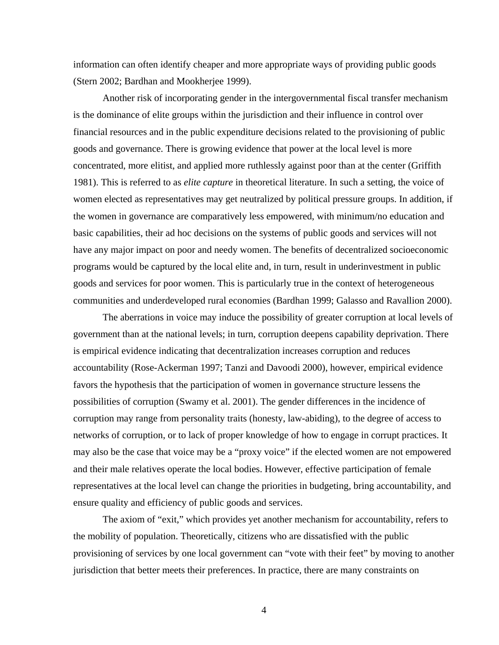information can often identify cheaper and more appropriate ways of providing public goods (Stern 2002; Bardhan and Mookherjee 1999).

Another risk of incorporating gender in the intergovernmental fiscal transfer mechanism is the dominance of elite groups within the jurisdiction and their influence in control over financial resources and in the public expenditure decisions related to the provisioning of public goods and governance. There is growing evidence that power at the local level is more concentrated, more elitist, and applied more ruthlessly against poor than at the center (Griffith 1981). This is referred to as *elite capture* in theoretical literature. In such a setting, the voice of women elected as representatives may get neutralized by political pressure groups. In addition, if the women in governance are comparatively less empowered, with minimum/no education and basic capabilities, their ad hoc decisions on the systems of public goods and services will not have any major impact on poor and needy women. The benefits of decentralized socioeconomic programs would be captured by the local elite and, in turn, result in underinvestment in public goods and services for poor women. This is particularly true in the context of heterogeneous communities and underdeveloped rural economies (Bardhan 1999; Galasso and Ravallion 2000).

The aberrations in voice may induce the possibility of greater corruption at local levels of government than at the national levels; in turn, corruption deepens capability deprivation. There is empirical evidence indicating that decentralization increases corruption and reduces accountability (Rose-Ackerman 1997; Tanzi and Davoodi 2000), however, empirical evidence favors the hypothesis that the participation of women in governance structure lessens the possibilities of corruption (Swamy et al. 2001). The gender differences in the incidence of corruption may range from personality traits (honesty, law-abiding), to the degree of access to networks of corruption, or to lack of proper knowledge of how to engage in corrupt practices. It may also be the case that voice may be a "proxy voice" if the elected women are not empowered and their male relatives operate the local bodies. However, effective participation of female representatives at the local level can change the priorities in budgeting, bring accountability, and ensure quality and efficiency of public goods and services.

The axiom of "exit," which provides yet another mechanism for accountability, refers to the mobility of population. Theoretically, citizens who are dissatisfied with the public provisioning of services by one local government can "vote with their feet" by moving to another jurisdiction that better meets their preferences. In practice, there are many constraints on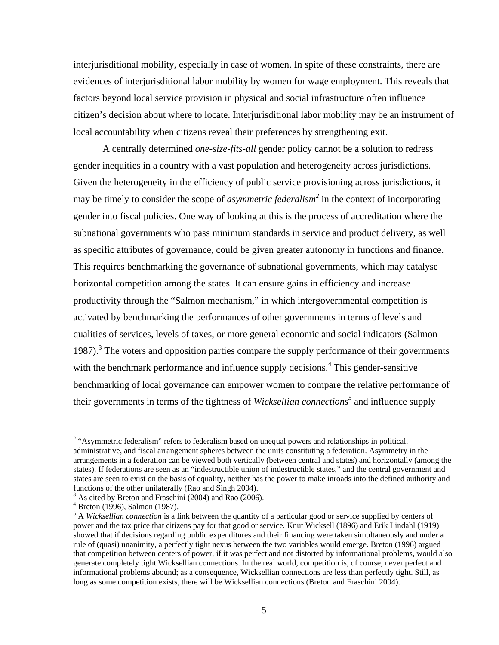interjurisditional mobility, especially in case of women. In spite of these constraints, there are evidences of interjurisditional labor mobility by women for wage employment. This reveals that factors beyond local service provision in physical and social infrastructure often influence citizen's decision about where to locate. Interjurisditional labor mobility may be an instrument of local accountability when citizens reveal their preferences by strengthening exit.

 A centrally determined *one-size-fits-all* gender policy cannot be a solution to redress gender inequities in a country with a vast population and heterogeneity across jurisdictions. Given the heterogeneity in the efficiency of public service provisioning across jurisdictions, it may be timely to consider the scope of *asymmetric federalism*<sup>2</sup> in the context of incorporating gender into fiscal policies. One way of looking at this is the process of accreditation where the subnational governments who pass minimum standards in service and product delivery, as well as specific attributes of governance, could be given greater autonomy in functions and finance. This requires benchmarking the governance of subnational governments, which may catalyse horizontal competition among the states. It can ensure gains in efficiency and increase productivity through the "Salmon mechanism," in which intergovernmental competition is activated by benchmarking the performances of other governments in terms of levels and qualities of services, levels of taxes, or more general economic and social indicators (Salmon 1987).<sup>3</sup> The voters and opposition parties compare the supply performance of their governments with the benchmark performance and influence supply decisions.<sup>4</sup> This gender-sensitive benchmarking of local governance can empower women to compare the relative performance of their governments in terms of the tightness of *Wicksellian connections*<sup>5</sup> and influence supply

<sup>&</sup>lt;sup>2</sup> "Asymmetric federalism" refers to federalism based on unequal powers and relationships in political, administrative, and fiscal arrangement spheres between the units constituting a federation. Asymmetry in the arrangements in a federation can be viewed both vertically (between central and states) and horizontally (among the states). If federations are seen as an "indestructible union of indestructible states," and the central government and states are seen to exist on the basis of equality, neither has the power to make inroads into the defined authority and functions of the other unilaterally (Rao and Singh 2004).

<sup>&</sup>lt;sup>3</sup> As cited by Breton and Fraschini (2004) and Rao (2006).

 $^{4}$  Breton (1996), Salmon (1987).

<sup>&</sup>lt;sup>5</sup> A *Wicksellian connection* is a link between the quantity of a particular good or service supplied by centers of power and the tax price that citizens pay for that good or service. Knut Wicksell (1896) and Erik Lindahl (1919) showed that if decisions regarding public expenditures and their financing were taken simultaneously and under a rule of (quasi) unanimity, a perfectly tight nexus between the two variables would emerge. Breton (1996) argued that competition between centers of power, if it was perfect and not distorted by informational problems, would also generate completely tight Wicksellian connections. In the real world, competition is, of course, never perfect and informational problems abound; as a consequence, Wicksellian connections are less than perfectly tight. Still, as long as some competition exists, there will be Wicksellian connections (Breton and Fraschini 2004).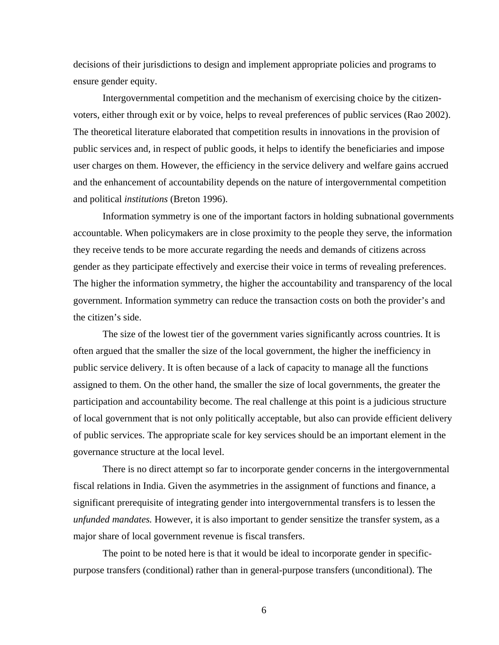decisions of their jurisdictions to design and implement appropriate policies and programs to ensure gender equity.

Intergovernmental competition and the mechanism of exercising choice by the citizenvoters, either through exit or by voice, helps to reveal preferences of public services (Rao 2002). The theoretical literature elaborated that competition results in innovations in the provision of public services and, in respect of public goods, it helps to identify the beneficiaries and impose user charges on them. However, the efficiency in the service delivery and welfare gains accrued and the enhancement of accountability depends on the nature of intergovernmental competition and political *institutions* (Breton 1996).

 Information symmetry is one of the important factors in holding subnational governments accountable. When policymakers are in close proximity to the people they serve, the information they receive tends to be more accurate regarding the needs and demands of citizens across gender as they participate effectively and exercise their voice in terms of revealing preferences. The higher the information symmetry, the higher the accountability and transparency of the local government. Information symmetry can reduce the transaction costs on both the provider's and the citizen's side.

The size of the lowest tier of the government varies significantly across countries. It is often argued that the smaller the size of the local government, the higher the inefficiency in public service delivery. It is often because of a lack of capacity to manage all the functions assigned to them. On the other hand, the smaller the size of local governments, the greater the participation and accountability become. The real challenge at this point is a judicious structure of local government that is not only politically acceptable, but also can provide efficient delivery of public services. The appropriate scale for key services should be an important element in the governance structure at the local level.

There is no direct attempt so far to incorporate gender concerns in the intergovernmental fiscal relations in India. Given the asymmetries in the assignment of functions and finance, a significant prerequisite of integrating gender into intergovernmental transfers is to lessen the *unfunded mandates.* However, it is also important to gender sensitize the transfer system, as a major share of local government revenue is fiscal transfers.

The point to be noted here is that it would be ideal to incorporate gender in specificpurpose transfers (conditional) rather than in general-purpose transfers (unconditional). The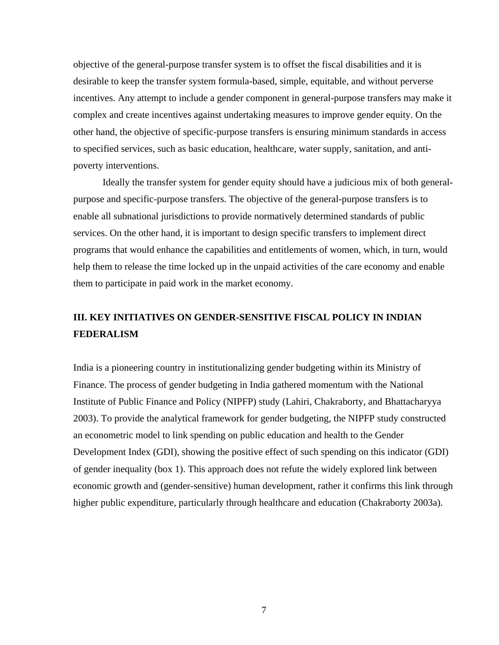objective of the general-purpose transfer system is to offset the fiscal disabilities and it is desirable to keep the transfer system formula-based, simple, equitable, and without perverse incentives. Any attempt to include a gender component in general-purpose transfers may make it complex and create incentives against undertaking measures to improve gender equity. On the other hand, the objective of specific-purpose transfers is ensuring minimum standards in access to specified services, such as basic education, healthcare, water supply, sanitation, and antipoverty interventions.

Ideally the transfer system for gender equity should have a judicious mix of both generalpurpose and specific-purpose transfers. The objective of the general-purpose transfers is to enable all subnational jurisdictions to provide normatively determined standards of public services. On the other hand, it is important to design specific transfers to implement direct programs that would enhance the capabilities and entitlements of women, which, in turn, would help them to release the time locked up in the unpaid activities of the care economy and enable them to participate in paid work in the market economy.

# **III. KEY INITIATIVES ON GENDER-SENSITIVE FISCAL POLICY IN INDIAN FEDERALISM**

India is a pioneering country in institutionalizing gender budgeting within its Ministry of Finance. The process of gender budgeting in India gathered momentum with the National Institute of Public Finance and Policy (NIPFP) study (Lahiri, Chakraborty, and Bhattacharyya 2003). To provide the analytical framework for gender budgeting, the NIPFP study constructed an econometric model to link spending on public education and health to the Gender Development Index (GDI), showing the positive effect of such spending on this indicator (GDI) of gender inequality (box 1). This approach does not refute the widely explored link between economic growth and (gender-sensitive) human development, rather it confirms this link through higher public expenditure, particularly through healthcare and education (Chakraborty 2003a).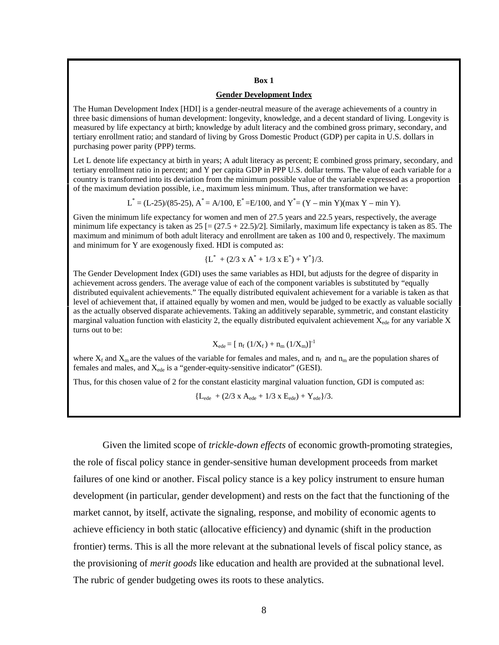#### **Box 1**

#### **Gender Development Index**

The Human Development Index [HDI] is a gender-neutral measure of the average achievements of a country in three basic dimensions of human development: longevity, knowledge, and a decent standard of living. Longevity is measured by life expectancy at birth; knowledge by adult literacy and the combined gross primary, secondary, and tertiary enrollment ratio; and standard of living by Gross Domestic Product (GDP) per capita in U.S. dollars in purchasing power parity (PPP) terms.

Let L denote life expectancy at birth in years; A adult literacy as percent; E combined gross primary, secondary, and tertiary enrollment ratio in percent; and Y per capita GDP in PPP U.S. dollar terms. The value of each variable for a country is transformed into its deviation from the minimum possible value of the variable expressed as a proportion of the maximum deviation possible, i.e., maximum less minimum. Thus, after transformation we have:

 $L^* = (L-25)/(85-25)$ ,  $A^* = A/100$ ,  $E^* = E/100$ , and  $Y^* = (Y - \min Y)(\max Y - \min Y)$ .

Given the minimum life expectancy for women and men of 27.5 years and 22.5 years, respectively, the average minimum life expectancy is taken as  $25$  [=  $(27.5 + 22.5)/2$ ]. Similarly, maximum life expectancy is taken as 85. The maximum and minimum of both adult literacy and enrollment are taken as 100 and 0, respectively. The maximum and minimum for Y are exogenously fixed. HDI is computed as:

$$
{L^* + (2/3 \times A^* + 1/3 \times E^*) + Y^*}/3.
$$

The Gender Development Index (GDI) uses the same variables as HDI, but adjusts for the degree of disparity in achievement across genders. The average value of each of the component variables is substituted by "equally distributed equivalent achievements." The equally distributed equivalent achievement for a variable is taken as that level of achievement that, if attained equally by women and men, would be judged to be exactly as valuable socially as the actually observed disparate achievements. Taking an additively separable, symmetric, and constant elasticity marginal valuation function with elasticity 2, the equally distributed equivalent achievement  $X_{\text{ede}}$  for any variable X turns out to be:

$$
X_{ede} = [ n_f (1/X_f) + n_m (1/X_m)]^{-1}
$$

where  $X_f$  and  $X_m$  are the values of the variable for females and males, and  $n_f$  and  $n_m$  are the population shares of females and males, and  $X_{\text{ede}}$  is a "gender-equity-sensitive indicator" (GESI).

Thus, for this chosen value of 2 for the constant elasticity marginal valuation function, GDI is computed as:

 ${L_{ede} + (2/3 \times A_{ede} + 1/3 \times E_{ede}) + Y_{ede}}$ /3.

Given the limited scope of *trickle-down effects* of economic growth-promoting strategies, the role of fiscal policy stance in gender-sensitive human development proceeds from market failures of one kind or another. Fiscal policy stance is a key policy instrument to ensure human development (in particular, gender development) and rests on the fact that the functioning of the market cannot, by itself, activate the signaling, response, and mobility of economic agents to achieve efficiency in both static (allocative efficiency) and dynamic (shift in the production frontier) terms. This is all the more relevant at the subnational levels of fiscal policy stance, as the provisioning of *merit goods* like education and health are provided at the subnational level. The rubric of gender budgeting owes its roots to these analytics.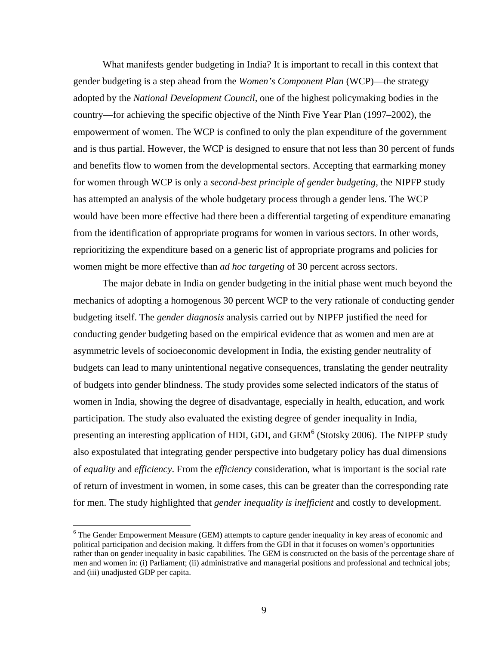What manifests gender budgeting in India? It is important to recall in this context that gender budgeting is a step ahead from the *Women's Component Plan* (WCP)—the strategy adopted by the *National Development Council*, one of the highest policymaking bodies in the country—for achieving the specific objective of the Ninth Five Year Plan (1997–2002), the empowerment of women. The WCP is confined to only the plan expenditure of the government and is thus partial. However, the WCP is designed to ensure that not less than 30 percent of funds and benefits flow to women from the developmental sectors. Accepting that earmarking money for women through WCP is only a *second-best principle of gender budgeting,* the NIPFP study has attempted an analysis of the whole budgetary process through a gender lens. The WCP would have been more effective had there been a differential targeting of expenditure emanating from the identification of appropriate programs for women in various sectors. In other words, reprioritizing the expenditure based on a generic list of appropriate programs and policies for women might be more effective than *ad hoc targeting* of 30 percent across sectors.

The major debate in India on gender budgeting in the initial phase went much beyond the mechanics of adopting a homogenous 30 percent WCP to the very rationale of conducting gender budgeting itself. The *gender diagnosis* analysis carried out by NIPFP justified the need for conducting gender budgeting based on the empirical evidence that as women and men are at asymmetric levels of socioeconomic development in India, the existing gender neutrality of budgets can lead to many unintentional negative consequences, translating the gender neutrality of budgets into gender blindness. The study provides some selected indicators of the status of women in India, showing the degree of disadvantage, especially in health, education, and work participation. The study also evaluated the existing degree of gender inequality in India, presenting an interesting application of HDI, GDI, and  $GEM<sup>6</sup>$  (Stotsky 2006). The NIPFP study also expostulated that integrating gender perspective into budgetary policy has dual dimensions of *equality* and *efficiency*. From the *efficiency* consideration, what is important is the social rate of return of investment in women, in some cases, this can be greater than the corresponding rate for men. The study highlighted that *gender inequality is inefficient* and costly to development.

<sup>&</sup>lt;sup>6</sup> The Gender Empowerment Measure (GEM) attempts to capture gender inequality in key areas of economic and political participation and decision making. It differs from the GDI in that it focuses on women's opportunities rather than on gender inequality in basic capabilities. The GEM is constructed on the basis of the percentage share of men and women in: (i) Parliament; (ii) administrative and managerial positions and professional and technical jobs; and (iii) unadjusted GDP per capita.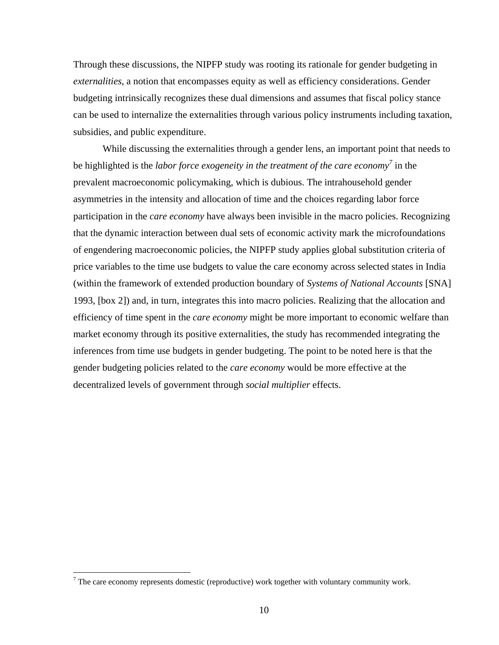Through these discussions, the NIPFP study was rooting its rationale for gender budgeting in *externalities*, a notion that encompasses equity as well as efficiency considerations. Gender budgeting intrinsically recognizes these dual dimensions and assumes that fiscal policy stance can be used to internalize the externalities through various policy instruments including taxation, subsidies, and public expenditure.

While discussing the externalities through a gender lens, an important point that needs to be highlighted is the *labor force exogeneity in the treatment of the care economy*<sup>7</sup> in the prevalent macroeconomic policymaking, which is dubious. The intrahousehold gender asymmetries in the intensity and allocation of time and the choices regarding labor force participation in the *care economy* have always been invisible in the macro policies. Recognizing that the dynamic interaction between dual sets of economic activity mark the microfoundations of engendering macroeconomic policies, the NIPFP study applies global substitution criteria of price variables to the time use budgets to value the care economy across selected states in India (within the framework of extended production boundary of *Systems of National Accounts* [SNA] 1993, [box 2]) and, in turn, integrates this into macro policies. Realizing that the allocation and efficiency of time spent in the *care economy* might be more important to economic welfare than market economy through its positive externalities, the study has recommended integrating the inferences from time use budgets in gender budgeting. The point to be noted here is that the gender budgeting policies related to the *care economy* would be more effective at the decentralized levels of government through *social multiplier* effects.

 $\overline{a}$ 

 $7$  The care economy represents domestic (reproductive) work together with voluntary community work.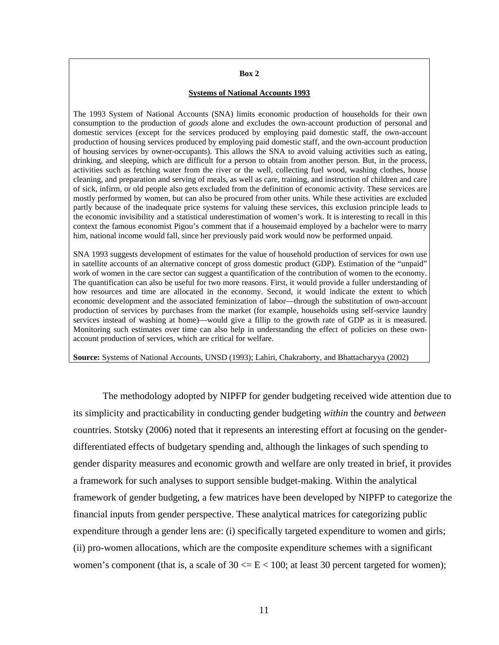#### **Box 2**

#### **Systems of National Accounts 1993**

The 1993 System of National Accounts (SNA) limits economic production of households for their own consumption to the production of *goods* alone and excludes the own-account production of personal and domestic services (except for the services produced by employing paid domestic staff, the own-account production of housing services produced by employing paid domestic staff, and the own-account production of housing services by owner-occupants). This allows the SNA to avoid valuing activities such as eating, drinking, and sleeping, which are difficult for a person to obtain from another person. But, in the process, activities such as fetching water from the river or the well, collecting fuel wood, washing clothes, house cleaning, and preparation and serving of meals, as well as care, training, and instruction of children and care of sick, infirm, or old people also gets excluded from the definition of economic activity. These services are mostly performed by women, but can also be procured from other units. While these activities are excluded partly because of the inadequate price systems for valuing these services, this exclusion principle leads to the economic invisibility and a statistical underestimation of women's work. It is interesting to recall in this context the famous economist Pigou's comment that if a housemaid employed by a bachelor were to marry him, national income would fall, since her previously paid work would now be performed unpaid.

SNA 1993 suggests development of estimates for the value of household production of services for own use in satellite accounts of an alternative concept of gross domestic product (GDP). Estimation of the "unpaid" work of women in the care sector can suggest a quantification of the contribution of women to the economy. The quantification can also be useful for two more reasons. First, it would provide a fuller understanding of how resources and time are allocated in the economy. Second, it would indicate the extent to which economic development and the associated feminization of labor—through the substitution of own-account production of services by purchases from the market (for example, households using self-service laundry services instead of washing at home)—would give a fillip to the growth rate of GDP as it is measured. Monitoring such estimates over time can also help in understanding the effect of policies on these ownaccount production of services, which are critical for welfare.

**Source:** Systems of National Accounts, UNSD (1993); Lahiri, Chakraborty, and Bhattacharyya (2002)

The methodology adopted by NIPFP for gender budgeting received wide attention due to its simplicity and practicability in conducting gender budgeting *within* the country and *between*  countries. Stotsky (2006) noted that it represents an interesting effort at focusing on the genderdifferentiated effects of budgetary spending and, although the linkages of such spending to gender disparity measures and economic growth and welfare are only treated in brief, it provides a framework for such analyses to support sensible budget-making. Within the analytical framework of gender budgeting, a few matrices have been developed by NIPFP to categorize the financial inputs from gender perspective. These analytical matrices for categorizing public expenditure through a gender lens are: (i) specifically targeted expenditure to women and girls; (ii) pro-women allocations, which are the composite expenditure schemes with a significant women's component (that is, a scale of  $30 \le E \le 100$ ; at least 30 percent targeted for women);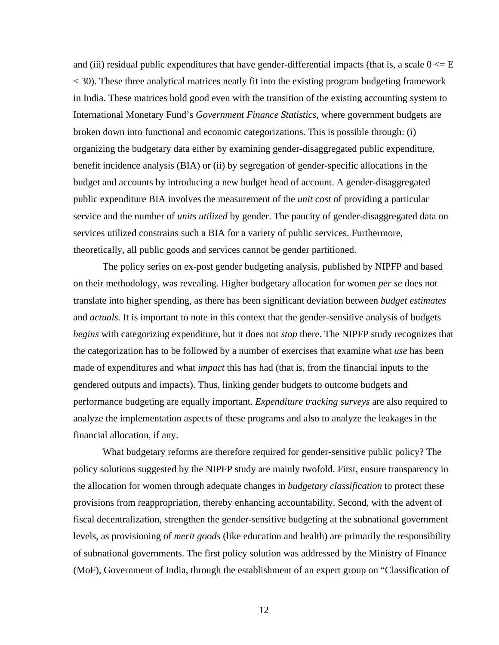and (iii) residual public expenditures that have gender-differential impacts (that is, a scale  $0 \le E$ < 30). These three analytical matrices neatly fit into the existing program budgeting framework in India. These matrices hold good even with the transition of the existing accounting system to International Monetary Fund's *Government Finance Statistics*, where government budgets are broken down into functional and economic categorizations. This is possible through: (i) organizing the budgetary data either by examining gender-disaggregated public expenditure, benefit incidence analysis (BIA) or (ii) by segregation of gender-specific allocations in the budget and accounts by introducing a new budget head of account. A gender-disaggregated public expenditure BIA involves the measurement of the *unit cost* of providing a particular service and the number of *units utilized* by gender. The paucity of gender-disaggregated data on services utilized constrains such a BIA for a variety of public services. Furthermore, theoretically, all public goods and services cannot be gender partitioned.

 The policy series on ex-post gender budgeting analysis, published by NIPFP and based on their methodology, was revealing. Higher budgetary allocation for women *per se* does not translate into higher spending, as there has been significant deviation between *budget estimates*  and *actuals.* It is important to note in this context that the gender-sensitive analysis of budgets *begins* with categorizing expenditure, but it does not *stop* there. The NIPFP study recognizes that the categorization has to be followed by a number of exercises that examine what *use* has been made of expenditures and what *impact* this has had (that is, from the financial inputs to the gendered outputs and impacts). Thus, linking gender budgets to outcome budgets and performance budgeting are equally important. *Expenditure tracking surveys* are also required to analyze the implementation aspects of these programs and also to analyze the leakages in the financial allocation, if any.

What budgetary reforms are therefore required for gender-sensitive public policy? The policy solutions suggested by the NIPFP study are mainly twofold. First, ensure transparency in the allocation for women through adequate changes in *budgetary classification* to protect these provisions from reappropriation, thereby enhancing accountability. Second, with the advent of fiscal decentralization, strengthen the gender-sensitive budgeting at the subnational government levels, as provisioning of *merit goods* (like education and health) are primarily the responsibility of subnational governments. The first policy solution was addressed by the Ministry of Finance (MoF), Government of India, through the establishment of an expert group on "Classification of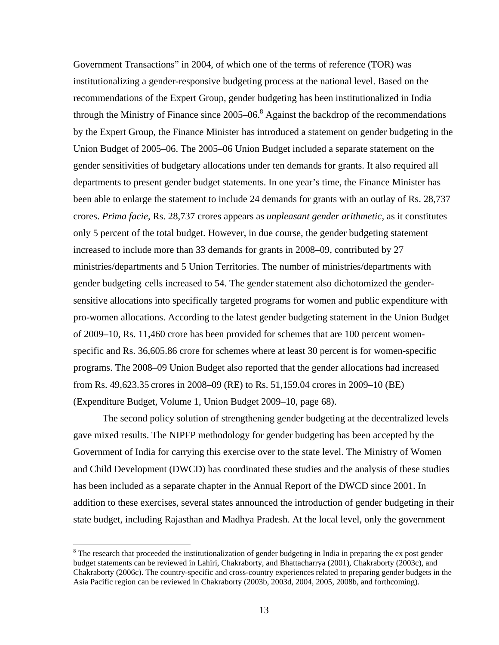Government Transactions" in 2004, of which one of the terms of reference (TOR) was institutionalizing a gender-responsive budgeting process at the national level. Based on the recommendations of the Expert Group, gender budgeting has been institutionalized in India through the Ministry of Finance since  $2005-06$ .<sup>8</sup> Against the backdrop of the recommendations by the Expert Group, the Finance Minister has introduced a statement on gender budgeting in the Union Budget of 2005–06. The 2005–06 Union Budget included a separate statement on the gender sensitivities of budgetary allocations under ten demands for grants. It also required all departments to present gender budget statements. In one year's time, the Finance Minister has been able to enlarge the statement to include 24 demands for grants with an outlay of Rs. 28,737 crores. *Prima facie*, Rs. 28,737 crores appears as *unpleasant gender arithmetic,* as it constitutes only 5 percent of the total budget. However, in due course, the gender budgeting statement increased to include more than 33 demands for grants in 2008–09, contributed by 27 ministries/departments and 5 Union Territories. The number of ministries/departments with gender budgeting cells increased to 54. The gender statement also dichotomized the gendersensitive allocations into specifically targeted programs for women and public expenditure with pro-women allocations. According to the latest gender budgeting statement in the Union Budget of 2009–10, Rs. 11,460 crore has been provided for schemes that are 100 percent womenspecific and Rs. 36,605.86 crore for schemes where at least 30 percent is for women-specific programs. The 2008–09 Union Budget also reported that the gender allocations had increased from Rs. 49,623.35 crores in 2008–09 (RE) to Rs. 51,159.04 crores in 2009–10 (BE) (Expenditure Budget, Volume 1, Union Budget 2009–10, page 68).

The second policy solution of strengthening gender budgeting at the decentralized levels gave mixed results. The NIPFP methodology for gender budgeting has been accepted by the Government of India for carrying this exercise over to the state level. The Ministry of Women and Child Development (DWCD) has coordinated these studies and the analysis of these studies has been included as a separate chapter in the Annual Report of the DWCD since 2001. In addition to these exercises, several states announced the introduction of gender budgeting in their state budget, including Rajasthan and Madhya Pradesh. At the local level, only the government

 $\overline{a}$ 

 $8$  The research that proceeded the institutionalization of gender budgeting in India in preparing the ex post gender budget statements can be reviewed in Lahiri, Chakraborty, and Bhattacharrya (2001)*,* Chakraborty (2003c), and Chakraborty (2006c). The country-specific and cross-country experiences related to preparing gender budgets in the Asia Pacific region can be reviewed in Chakraborty (2003b, 2003d, 2004, 2005, 2008b, and forthcoming).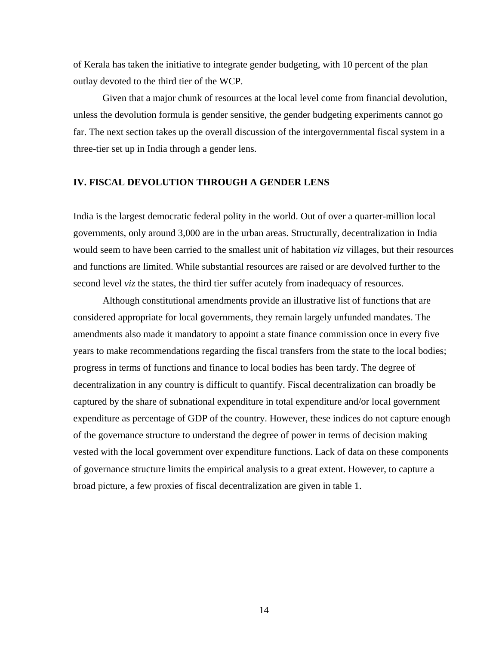of Kerala has taken the initiative to integrate gender budgeting, with 10 percent of the plan outlay devoted to the third tier of the WCP.

Given that a major chunk of resources at the local level come from financial devolution, unless the devolution formula is gender sensitive, the gender budgeting experiments cannot go far. The next section takes up the overall discussion of the intergovernmental fiscal system in a three-tier set up in India through a gender lens.

## **IV. FISCAL DEVOLUTION THROUGH A GENDER LENS**

India is the largest democratic federal polity in the world. Out of over a quarter-million local governments, only around 3,000 are in the urban areas. Structurally, decentralization in India would seem to have been carried to the smallest unit of habitation *viz* villages, but their resources and functions are limited. While substantial resources are raised or are devolved further to the second level *viz* the states, the third tier suffer acutely from inadequacy of resources.

Although constitutional amendments provide an illustrative list of functions that are considered appropriate for local governments, they remain largely unfunded mandates. The amendments also made it mandatory to appoint a state finance commission once in every five years to make recommendations regarding the fiscal transfers from the state to the local bodies; progress in terms of functions and finance to local bodies has been tardy. The degree of decentralization in any country is difficult to quantify. Fiscal decentralization can broadly be captured by the share of subnational expenditure in total expenditure and/or local government expenditure as percentage of GDP of the country. However, these indices do not capture enough of the governance structure to understand the degree of power in terms of decision making vested with the local government over expenditure functions. Lack of data on these components of governance structure limits the empirical analysis to a great extent. However, to capture a broad picture, a few proxies of fiscal decentralization are given in table 1.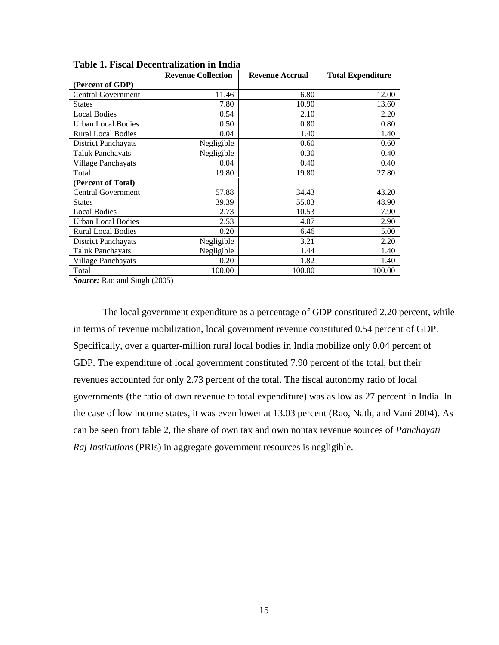|                            | <b>Revenue Collection</b> | <b>Revenue Accrual</b> | <b>Total Expenditure</b> |
|----------------------------|---------------------------|------------------------|--------------------------|
| (Percent of GDP)           |                           |                        |                          |
| <b>Central Government</b>  | 11.46                     | 6.80                   | 12.00                    |
| <b>States</b>              | 7.80                      | 10.90                  | 13.60                    |
| <b>Local Bodies</b>        | 0.54                      | 2.10                   | 2.20                     |
| <b>Urban Local Bodies</b>  | 0.50                      | 0.80                   | 0.80                     |
| <b>Rural Local Bodies</b>  | 0.04                      | 1.40                   | 1.40                     |
| <b>District Panchayats</b> | Negligible                | 0.60                   | 0.60                     |
| <b>Taluk Panchayats</b>    | Negligible                | 0.30                   | 0.40                     |
| Village Panchayats         | 0.04                      | 0.40                   | 0.40                     |
| Total                      | 19.80                     | 19.80                  | 27.80                    |
| (Percent of Total)         |                           |                        |                          |
| <b>Central Government</b>  | 57.88                     | 34.43                  | 43.20                    |
| <b>States</b>              | 39.39                     | 55.03                  | 48.90                    |
| <b>Local Bodies</b>        | 2.73                      | 10.53                  | 7.90                     |
| <b>Urban Local Bodies</b>  | 2.53                      | 4.07                   | 2.90                     |
| <b>Rural Local Bodies</b>  | 0.20                      | 6.46                   | 5.00                     |
| <b>District Panchayats</b> | Negligible                | 3.21                   | 2.20                     |
| <b>Taluk Panchayats</b>    | Negligible                | 1.44                   | 1.40                     |
| Village Panchayats         | 0.20                      | 1.82                   | 1.40                     |
| Total                      | 100.00                    | 100.00                 | 100.00                   |

**Table 1. Fiscal Decentralization in India** 

*Source:* Rao and Singh (2005)

The local government expenditure as a percentage of GDP constituted 2.20 percent, while in terms of revenue mobilization, local government revenue constituted 0.54 percent of GDP. Specifically, over a quarter-million rural local bodies in India mobilize only 0.04 percent of GDP. The expenditure of local government constituted 7.90 percent of the total, but their revenues accounted for only 2.73 percent of the total. The fiscal autonomy ratio of local governments (the ratio of own revenue to total expenditure) was as low as 27 percent in India. In the case of low income states, it was even lower at 13.03 percent (Rao, Nath, and Vani 2004). As can be seen from table 2, the share of own tax and own nontax revenue sources of *Panchayati Raj Institutions* (PRIs) in aggregate government resources is negligible.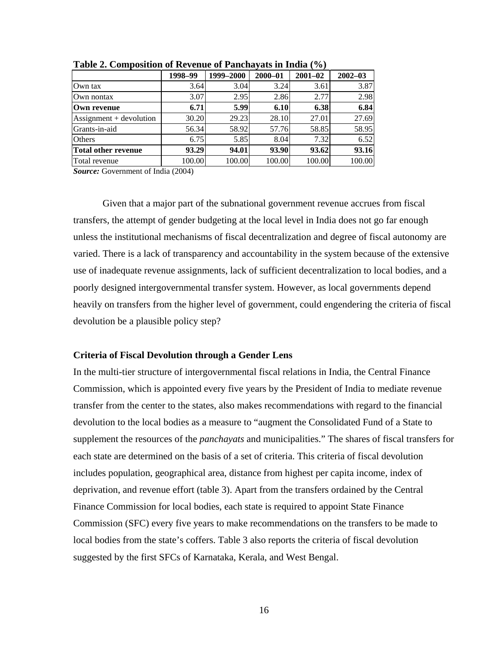| $-1$ $-1$ $-1$ $-1$ $-1$ $-1$ $-1$      |         |           |             |             |             |  |  |  |
|-----------------------------------------|---------|-----------|-------------|-------------|-------------|--|--|--|
|                                         | 1998-99 | 1999-2000 | $2000 - 01$ | $2001 - 02$ | $2002 - 03$ |  |  |  |
| Own tax                                 | 3.64    | 3.04      | 3.24        | 3.61        | 3.87        |  |  |  |
| Own nontax                              | 3.07    | 2.95      | 2.86        | 2.77        | 2.98        |  |  |  |
| Own revenue                             | 6.71    | 5.99      | 6.10        | 6.38        | 6.84        |  |  |  |
| $\text{Assignment} + \text{devolution}$ | 30.20   | 29.23     | 28.10       | 27.01       | 27.69       |  |  |  |
| Grants-in-aid                           | 56.34   | 58.92     | 57.76       | 58.85       | 58.95       |  |  |  |
| Others                                  | 6.75    | 5.85      | 8.04        | 7.32        | 6.52        |  |  |  |
| <b>Total other revenue</b>              | 93.29   | 94.01     | 93.90       | 93.62       | 93.16       |  |  |  |
| Total revenue                           | 100.00  | 100.00    | 100.00      | 100.00      | 100.00      |  |  |  |

**Table 2. Composition of Revenue of Panchayats in India (%)** 

*Source:* Government of India (2004)

Given that a major part of the subnational government revenue accrues from fiscal transfers, the attempt of gender budgeting at the local level in India does not go far enough unless the institutional mechanisms of fiscal decentralization and degree of fiscal autonomy are varied. There is a lack of transparency and accountability in the system because of the extensive use of inadequate revenue assignments, lack of sufficient decentralization to local bodies, and a poorly designed intergovernmental transfer system. However, as local governments depend heavily on transfers from the higher level of government, could engendering the criteria of fiscal devolution be a plausible policy step?

## **Criteria of Fiscal Devolution through a Gender Lens**

In the multi-tier structure of intergovernmental fiscal relations in India, the Central Finance Commission, which is appointed every five years by the President of India to mediate revenue transfer from the center to the states, also makes recommendations with regard to the financial devolution to the local bodies as a measure to "augment the Consolidated Fund of a State to supplement the resources of the *panchayats* and municipalities." The shares of fiscal transfers for each state are determined on the basis of a set of criteria. This criteria of fiscal devolution includes population, geographical area, distance from highest per capita income, index of deprivation, and revenue effort (table 3). Apart from the transfers ordained by the Central Finance Commission for local bodies, each state is required to appoint State Finance Commission (SFC) every five years to make recommendations on the transfers to be made to local bodies from the state's coffers. Table 3 also reports the criteria of fiscal devolution suggested by the first SFCs of Karnataka, Kerala, and West Bengal.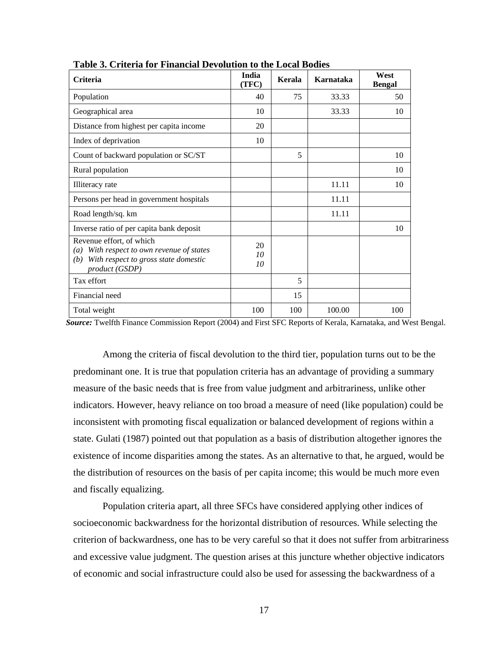| Criteria                                                                                                                                  | India<br>(TFC) | Kerala | Karnataka | West<br><b>Bengal</b> |
|-------------------------------------------------------------------------------------------------------------------------------------------|----------------|--------|-----------|-----------------------|
| Population                                                                                                                                | 40             | 75     | 33.33     | 50                    |
| Geographical area                                                                                                                         | 10             |        | 33.33     | 10                    |
| Distance from highest per capita income                                                                                                   | 20             |        |           |                       |
| Index of deprivation                                                                                                                      | 10             |        |           |                       |
| Count of backward population or SC/ST                                                                                                     |                | 5      |           | 10                    |
| Rural population                                                                                                                          |                |        |           | 10                    |
| Illiteracy rate                                                                                                                           |                |        | 11.11     | 10                    |
| Persons per head in government hospitals                                                                                                  |                |        | 11.11     |                       |
| Road length/sq. km                                                                                                                        |                |        | 11.11     |                       |
| Inverse ratio of per capita bank deposit                                                                                                  |                |        |           | 10                    |
| Revenue effort, of which<br>With respect to own revenue of states<br>(a)<br>With respect to gross state domestic<br>(b)<br>product (GSDP) | 20<br>10<br>10 |        |           |                       |
| Tax effort                                                                                                                                |                | 5      |           |                       |
| Financial need                                                                                                                            |                | 15     |           |                       |
| Total weight                                                                                                                              | 100            | 100    | 100.00    | 100                   |

**Table 3. Criteria for Financial Devolution to the Local Bodies** 

*Source:* Twelfth Finance Commission Report (2004) and First SFC Reports of Kerala, Karnataka, and West Bengal.

Among the criteria of fiscal devolution to the third tier, population turns out to be the predominant one. It is true that population criteria has an advantage of providing a summary measure of the basic needs that is free from value judgment and arbitrariness, unlike other indicators. However, heavy reliance on too broad a measure of need (like population) could be inconsistent with promoting fiscal equalization or balanced development of regions within a state. Gulati (1987) pointed out that population as a basis of distribution altogether ignores the existence of income disparities among the states. As an alternative to that, he argued, would be the distribution of resources on the basis of per capita income; this would be much more even and fiscally equalizing.

Population criteria apart, all three SFCs have considered applying other indices of socioeconomic backwardness for the horizontal distribution of resources. While selecting the criterion of backwardness, one has to be very careful so that it does not suffer from arbitrariness and excessive value judgment. The question arises at this juncture whether objective indicators of economic and social infrastructure could also be used for assessing the backwardness of a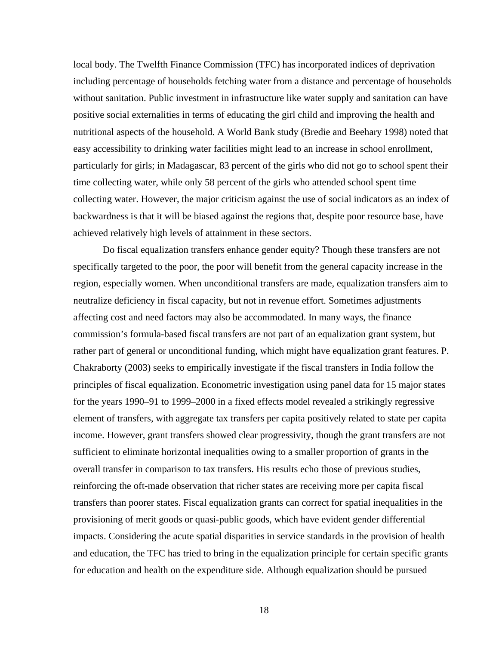local body. The Twelfth Finance Commission (TFC) has incorporated indices of deprivation including percentage of households fetching water from a distance and percentage of households without sanitation. Public investment in infrastructure like water supply and sanitation can have positive social externalities in terms of educating the girl child and improving the health and nutritional aspects of the household. A World Bank study (Bredie and Beehary 1998) noted that easy accessibility to drinking water facilities might lead to an increase in school enrollment, particularly for girls; in Madagascar, 83 percent of the girls who did not go to school spent their time collecting water, while only 58 percent of the girls who attended school spent time collecting water. However, the major criticism against the use of social indicators as an index of backwardness is that it will be biased against the regions that, despite poor resource base, have achieved relatively high levels of attainment in these sectors.

Do fiscal equalization transfers enhance gender equity? Though these transfers are not specifically targeted to the poor, the poor will benefit from the general capacity increase in the region, especially women. When unconditional transfers are made, equalization transfers aim to neutralize deficiency in fiscal capacity, but not in revenue effort. Sometimes adjustments affecting cost and need factors may also be accommodated. In many ways, the finance commission's formula-based fiscal transfers are not part of an equalization grant system, but rather part of general or unconditional funding, which might have equalization grant features. P. Chakraborty (2003) seeks to empirically investigate if the fiscal transfers in India follow the principles of fiscal equalization. Econometric investigation using panel data for 15 major states for the years 1990–91 to 1999–2000 in a fixed effects model revealed a strikingly regressive element of transfers, with aggregate tax transfers per capita positively related to state per capita income. However, grant transfers showed clear progressivity, though the grant transfers are not sufficient to eliminate horizontal inequalities owing to a smaller proportion of grants in the overall transfer in comparison to tax transfers. His results echo those of previous studies, reinforcing the oft-made observation that richer states are receiving more per capita fiscal transfers than poorer states. Fiscal equalization grants can correct for spatial inequalities in the provisioning of merit goods or quasi-public goods, which have evident gender differential impacts. Considering the acute spatial disparities in service standards in the provision of health and education, the TFC has tried to bring in the equalization principle for certain specific grants for education and health on the expenditure side. Although equalization should be pursued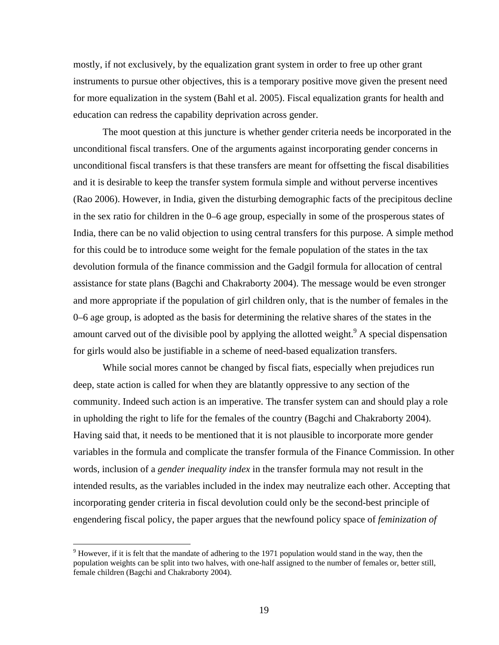mostly, if not exclusively, by the equalization grant system in order to free up other grant instruments to pursue other objectives, this is a temporary positive move given the present need for more equalization in the system (Bahl et al. 2005). Fiscal equalization grants for health and education can redress the capability deprivation across gender.

The moot question at this juncture is whether gender criteria needs be incorporated in the unconditional fiscal transfers. One of the arguments against incorporating gender concerns in unconditional fiscal transfers is that these transfers are meant for offsetting the fiscal disabilities and it is desirable to keep the transfer system formula simple and without perverse incentives (Rao 2006). However, in India, given the disturbing demographic facts of the precipitous decline in the sex ratio for children in the 0–6 age group, especially in some of the prosperous states of India, there can be no valid objection to using central transfers for this purpose. A simple method for this could be to introduce some weight for the female population of the states in the tax devolution formula of the finance commission and the Gadgil formula for allocation of central assistance for state plans (Bagchi and Chakraborty 2004). The message would be even stronger and more appropriate if the population of girl children only, that is the number of females in the 0–6 age group, is adopted as the basis for determining the relative shares of the states in the amount carved out of the divisible pool by applying the allotted weight.  $\alpha$ <sup>9</sup> A special dispensation for girls would also be justifiable in a scheme of need-based equalization transfers.

While social mores cannot be changed by fiscal fiats, especially when prejudices run deep, state action is called for when they are blatantly oppressive to any section of the community. Indeed such action is an imperative. The transfer system can and should play a role in upholding the right to life for the females of the country (Bagchi and Chakraborty 2004). Having said that, it needs to be mentioned that it is not plausible to incorporate more gender variables in the formula and complicate the transfer formula of the Finance Commission. In other words, inclusion of a *gender inequality index* in the transfer formula may not result in the intended results, as the variables included in the index may neutralize each other. Accepting that incorporating gender criteria in fiscal devolution could only be the second-best principle of engendering fiscal policy, the paper argues that the newfound policy space of *feminization of* 

 $\overline{a}$ 

 $9$  However, if it is felt that the mandate of adhering to the 1971 population would stand in the way, then the population weights can be split into two halves, with one-half assigned to the number of females or, better still, female children (Bagchi and Chakraborty 2004).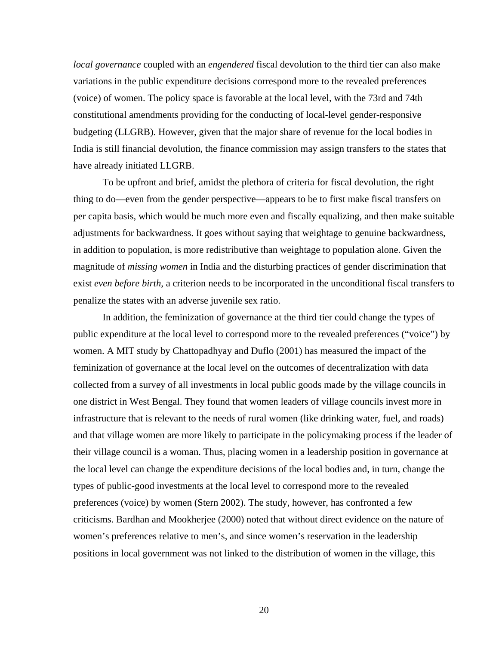*local governance* coupled with an *engendered* fiscal devolution to the third tier can also make variations in the public expenditure decisions correspond more to the revealed preferences (voice) of women. The policy space is favorable at the local level, with the 73rd and 74th constitutional amendments providing for the conducting of local-level gender-responsive budgeting (LLGRB). However, given that the major share of revenue for the local bodies in India is still financial devolution, the finance commission may assign transfers to the states that have already initiated LLGRB.

To be upfront and brief, amidst the plethora of criteria for fiscal devolution, the right thing to do—even from the gender perspective—appears to be to first make fiscal transfers on per capita basis, which would be much more even and fiscally equalizing, and then make suitable adjustments for backwardness. It goes without saying that weightage to genuine backwardness, in addition to population, is more redistributive than weightage to population alone. Given the magnitude of *missing women* in India and the disturbing practices of gender discrimination that exist *even before birth*, a criterion needs to be incorporated in the unconditional fiscal transfers to penalize the states with an adverse juvenile sex ratio.

In addition, the feminization of governance at the third tier could change the types of public expenditure at the local level to correspond more to the revealed preferences ("voice") by women. A MIT study by Chattopadhyay and Duflo (2001) has measured the impact of the feminization of governance at the local level on the outcomes of decentralization with data collected from a survey of all investments in local public goods made by the village councils in one district in West Bengal. They found that women leaders of village councils invest more in infrastructure that is relevant to the needs of rural women (like drinking water, fuel, and roads) and that village women are more likely to participate in the policymaking process if the leader of their village council is a woman. Thus, placing women in a leadership position in governance at the local level can change the expenditure decisions of the local bodies and, in turn, change the types of public-good investments at the local level to correspond more to the revealed preferences (voice) by women (Stern 2002). The study, however, has confronted a few criticisms. Bardhan and Mookherjee (2000) noted that without direct evidence on the nature of women's preferences relative to men's, and since women's reservation in the leadership positions in local government was not linked to the distribution of women in the village, this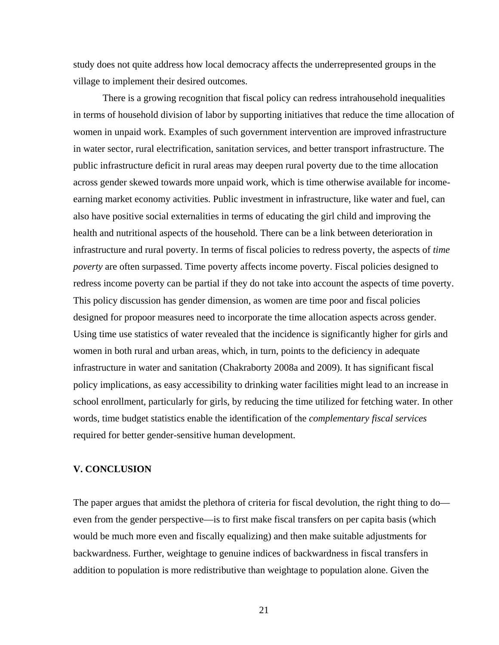study does not quite address how local democracy affects the underrepresented groups in the village to implement their desired outcomes.

There is a growing recognition that fiscal policy can redress intrahousehold inequalities in terms of household division of labor by supporting initiatives that reduce the time allocation of women in unpaid work. Examples of such government intervention are improved infrastructure in water sector, rural electrification, sanitation services, and better transport infrastructure. The public infrastructure deficit in rural areas may deepen rural poverty due to the time allocation across gender skewed towards more unpaid work, which is time otherwise available for incomeearning market economy activities. Public investment in infrastructure, like water and fuel, can also have positive social externalities in terms of educating the girl child and improving the health and nutritional aspects of the household. There can be a link between deterioration in infrastructure and rural poverty. In terms of fiscal policies to redress poverty, the aspects of *time poverty* are often surpassed. Time poverty affects income poverty. Fiscal policies designed to redress income poverty can be partial if they do not take into account the aspects of time poverty. This policy discussion has gender dimension, as women are time poor and fiscal policies designed for propoor measures need to incorporate the time allocation aspects across gender. Using time use statistics of water revealed that the incidence is significantly higher for girls and women in both rural and urban areas, which, in turn, points to the deficiency in adequate infrastructure in water and sanitation (Chakraborty 2008a and 2009). It has significant fiscal policy implications, as easy accessibility to drinking water facilities might lead to an increase in school enrollment, particularly for girls, by reducing the time utilized for fetching water. In other words, time budget statistics enable the identification of the *complementary fiscal services* required for better gender-sensitive human development.

## **V. CONCLUSION**

The paper argues that amidst the plethora of criteria for fiscal devolution, the right thing to do even from the gender perspective—is to first make fiscal transfers on per capita basis (which would be much more even and fiscally equalizing) and then make suitable adjustments for backwardness. Further, weightage to genuine indices of backwardness in fiscal transfers in addition to population is more redistributive than weightage to population alone. Given the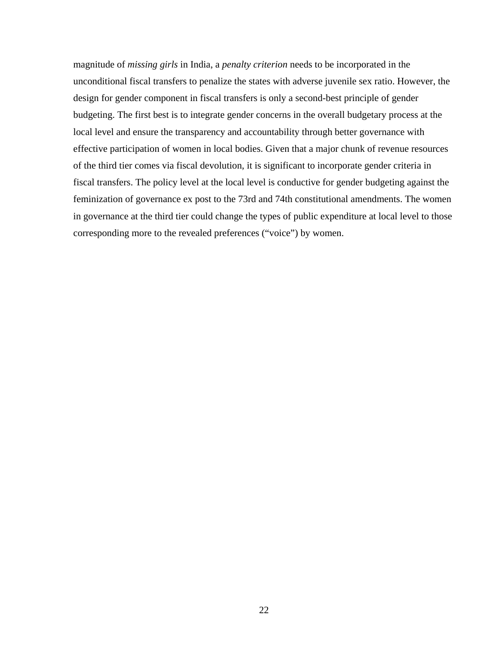magnitude of *missing girls* in India, a *penalty criterion* needs to be incorporated in the unconditional fiscal transfers to penalize the states with adverse juvenile sex ratio. However, the design for gender component in fiscal transfers is only a second-best principle of gender budgeting. The first best is to integrate gender concerns in the overall budgetary process at the local level and ensure the transparency and accountability through better governance with effective participation of women in local bodies. Given that a major chunk of revenue resources of the third tier comes via fiscal devolution, it is significant to incorporate gender criteria in fiscal transfers. The policy level at the local level is conductive for gender budgeting against the feminization of governance ex post to the 73rd and 74th constitutional amendments. The women in governance at the third tier could change the types of public expenditure at local level to those corresponding more to the revealed preferences ("voice") by women.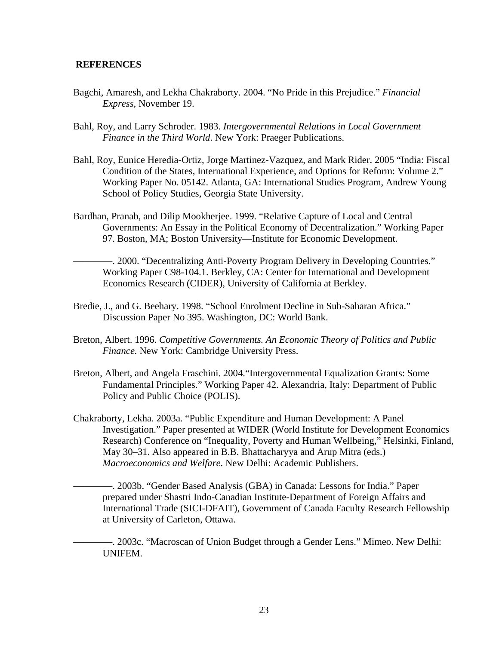## **REFERENCES**

- Bagchi, Amaresh, and Lekha Chakraborty. 2004. "No Pride in this Prejudice." *Financial Express,* November 19.
- Bahl, Roy, and Larry Schroder. 1983. *Intergovernmental Relations in Local Government Finance in the Third World*. New York: Praeger Publications.
- Bahl, Roy, Eunice Heredia-Ortiz, Jorge Martinez-Vazquez, and Mark Rider. 2005 "India: Fiscal Condition of the States, International Experience, and Options for Reform: Volume 2." Working Paper No. 05142. Atlanta, GA: International Studies Program, Andrew Young School of Policy Studies, Georgia State University.
- Bardhan, Pranab, and Dilip Mookherjee. 1999. "Relative Capture of Local and Central Governments: An Essay in the Political Economy of Decentralization." Working Paper 97. Boston, MA; Boston University—Institute for Economic Development.

————. 2000. "Decentralizing Anti-Poverty Program Delivery in Developing Countries." Working Paper C98-104.1. Berkley, CA: Center for International and Development Economics Research (CIDER), University of California at Berkley.

- Bredie, J., and G. Beehary. 1998. "School Enrolment Decline in Sub-Saharan Africa." Discussion Paper No 395. Washington, DC: World Bank.
- Breton, Albert. 1996. *Competitive Governments. An Economic Theory of Politics and Public Finance.* New York: Cambridge University Press.
- Breton, Albert, and Angela Fraschini. 2004."Intergovernmental Equalization Grants: Some Fundamental Principles." Working Paper 42. Alexandria, Italy: Department of Public Policy and Public Choice (POLIS).
- Chakraborty, Lekha. 2003a. "Public Expenditure and Human Development: A Panel Investigation." Paper presented at WIDER (World Institute for Development Economics Research) Conference on "Inequality, Poverty and Human Wellbeing," Helsinki, Finland, May 30–31. Also appeared in B.B. Bhattacharyya and Arup Mitra (eds.) *Macroeconomics and Welfare*. New Delhi: Academic Publishers.

-. 2003b. "Gender Based Analysis (GBA) in Canada: Lessons for India." Paper prepared under Shastri Indo-Canadian Institute-Department of Foreign Affairs and International Trade (SICI-DFAIT), Government of Canada Faculty Research Fellowship at University of Carleton, Ottawa.

————. 2003c. "Macroscan of Union Budget through a Gender Lens." Mimeo. New Delhi: UNIFEM.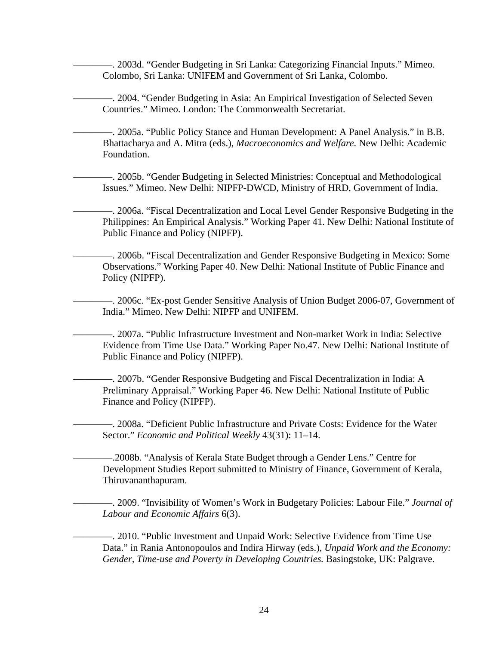-. 2003d. "Gender Budgeting in Sri Lanka: Categorizing Financial Inputs." Mimeo. Colombo, Sri Lanka: UNIFEM and Government of Sri Lanka, Colombo.

————. 2004. "Gender Budgeting in Asia: An Empirical Investigation of Selected Seven Countries." Mimeo. London: The Commonwealth Secretariat.

————. 2005a. "Public Policy Stance and Human Development: A Panel Analysis." in B.B. Bhattacharya and A. Mitra (eds.), *Macroeconomics and Welfare.* New Delhi: Academic Foundation.

————. 2005b. "Gender Budgeting in Selected Ministries: Conceptual and Methodological Issues." Mimeo. New Delhi: NIPFP-DWCD, Ministry of HRD, Government of India.

————. 2006a. "Fiscal Decentralization and Local Level Gender Responsive Budgeting in the Philippines: An Empirical Analysis." Working Paper 41. New Delhi: National Institute of Public Finance and Policy (NIPFP).

————. 2006b. "Fiscal Decentralization and Gender Responsive Budgeting in Mexico: Some Observations." Working Paper 40. New Delhi: National Institute of Public Finance and Policy (NIPFP).

————. 2006c. "Ex-post Gender Sensitive Analysis of Union Budget 2006-07, Government of India." Mimeo. New Delhi: NIPFP and UNIFEM.

————. 2007a. "Public Infrastructure Investment and Non-market Work in India: Selective Evidence from Time Use Data." Working Paper No.47. New Delhi: National Institute of Public Finance and Policy (NIPFP).

————. 2007b. "Gender Responsive Budgeting and Fiscal Decentralization in India: A Preliminary Appraisal." Working Paper 46. New Delhi: National Institute of Public Finance and Policy (NIPFP).

————. 2008a. "Deficient Public Infrastructure and Private Costs: Evidence for the Water Sector." *Economic and Political Weekly* 43(31): 11–14.

————.2008b. "Analysis of Kerala State Budget through a Gender Lens." Centre for Development Studies Report submitted to Ministry of Finance, Government of Kerala, Thiruvananthapuram.

————. 2009. "Invisibility of Women's Work in Budgetary Policies: Labour File." *Journal of Labour and Economic Affairs* 6(3).

————. 2010. "Public Investment and Unpaid Work: Selective Evidence from Time Use Data." in Rania Antonopoulos and Indira Hirway (eds.), *Unpaid Work and the Economy: Gender, Time-use and Poverty in Developing Countries.* Basingstoke, UK: Palgrave.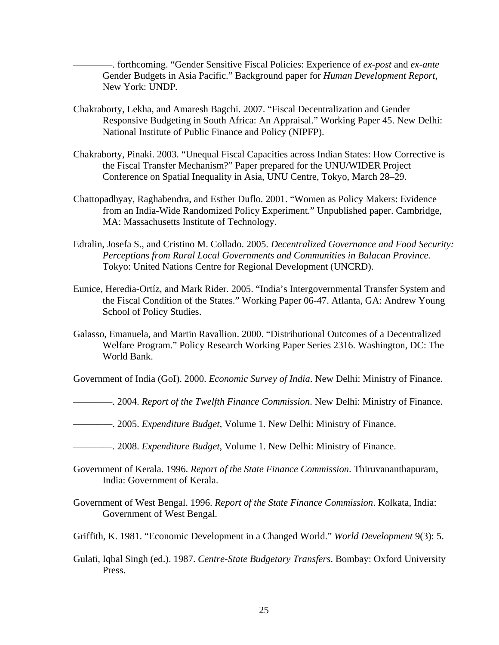————. forthcoming. "Gender Sensitive Fiscal Policies: Experience of *ex-post* and *ex-ante* Gender Budgets in Asia Pacific." Background paper for *Human Development Report,*  New York: UNDP*.* 

- Chakraborty, Lekha, and Amaresh Bagchi. 2007. "Fiscal Decentralization and Gender Responsive Budgeting in South Africa: An Appraisal." Working Paper 45. New Delhi: National Institute of Public Finance and Policy (NIPFP).
- Chakraborty, Pinaki. 2003. "Unequal Fiscal Capacities across Indian States: How Corrective is the Fiscal Transfer Mechanism?" Paper prepared for the UNU/WIDER Project Conference on Spatial Inequality in Asia, UNU Centre, Tokyo, March 28–29.
- Chattopadhyay, Raghabendra, and Esther Duflo. 2001. "Women as Policy Makers: Evidence from an India-Wide Randomized Policy Experiment." Unpublished paper. Cambridge, MA: Massachusetts Institute of Technology.
- Edralin, Josefa S., and Cristino M. Collado. 2005. *Decentralized Governance and Food Security: Perceptions from Rural Local Governments and Communities in Bulacan Province.* Tokyo: United Nations Centre for Regional Development (UNCRD).
- Eunice, Heredia-Ortíz, and Mark Rider. 2005. "India's Intergovernmental Transfer System and the Fiscal Condition of the States." Working Paper 06-47. Atlanta, GA: Andrew Young School of Policy Studies.
- Galasso, Emanuela, and Martin Ravallion. 2000. "Distributional Outcomes of a Decentralized Welfare Program." Policy Research Working Paper Series 2316. Washington, DC: The World Bank.

Government of India (GoI). 2000. *Economic Survey of India*. New Delhi: Ministry of Finance.

- ————. 2004. *Report of the Twelfth Finance Commission*. New Delhi: Ministry of Finance.
- ————. 2005. *Expenditure Budget*, Volume 1. New Delhi: Ministry of Finance.
- ————. 2008. *Expenditure Budget*, Volume 1. New Delhi: Ministry of Finance.
- Government of Kerala. 1996. *Report of the State Finance Commission*. Thiruvananthapuram, India: Government of Kerala.
- Government of West Bengal. 1996. *Report of the State Finance Commission*. Kolkata, India: Government of West Bengal.
- Griffith, K. 1981. "Economic Development in a Changed World." *World Development* 9(3): 5.
- Gulati, Iqbal Singh (ed.). 1987. *Centre-State Budgetary Transfers*. Bombay: Oxford University Press.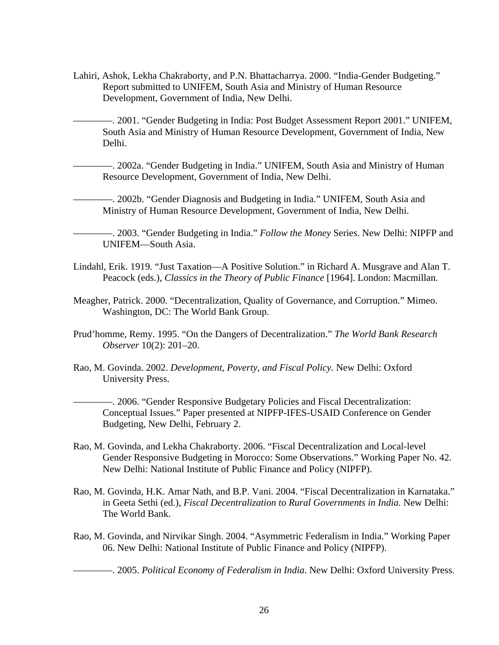Lahiri, Ashok, Lekha Chakraborty, and P.N. Bhattacharrya. 2000. "India-Gender Budgeting." Report submitted to UNIFEM, South Asia and Ministry of Human Resource Development, Government of India, New Delhi.

-. 2001. "Gender Budgeting in India: Post Budget Assessment Report 2001." UNIFEM, South Asia and Ministry of Human Resource Development, Government of India, New Delhi.

————. 2002a. "Gender Budgeting in India." UNIFEM, South Asia and Ministry of Human Resource Development, Government of India, New Delhi.

————. 2002b. "Gender Diagnosis and Budgeting in India." UNIFEM, South Asia and Ministry of Human Resource Development, Government of India, New Delhi.

————. 2003. "Gender Budgeting in India." *Follow the Money* Series. New Delhi: NIPFP and UNIFEM—South Asia.

- Lindahl, Erik. 1919. "Just Taxation—A Positive Solution." in Richard A. Musgrave and Alan T. Peacock (eds.), *Classics in the Theory of Public Finance* [1964]. London: Macmillan.
- Meagher, Patrick. 2000. "Decentralization, Quality of Governance, and Corruption." Mimeo. Washington, DC: The World Bank Group.
- Prud'homme, Remy. 1995. "On the Dangers of Decentralization." *The World Bank Research Observer* 10(2): 201–20.
- Rao, M. Govinda. 2002. *Development, Poverty, and Fiscal Policy.* New Delhi: Oxford University Press.

————. 2006. "Gender Responsive Budgetary Policies and Fiscal Decentralization: Conceptual Issues." Paper presented at NIPFP-IFES-USAID Conference on Gender Budgeting, New Delhi, February 2.

- Rao, M. Govinda, and Lekha Chakraborty. 2006. "Fiscal Decentralization and Local-level Gender Responsive Budgeting in Morocco: Some Observations." Working Paper No. 42. New Delhi: National Institute of Public Finance and Policy (NIPFP).
- Rao, M. Govinda, H.K. Amar Nath, and B.P. Vani. 2004. "Fiscal Decentralization in Karnataka." in Geeta Sethi (ed.), *Fiscal Decentralization to Rural Governments in India.* New Delhi: The World Bank.
- Rao, M. Govinda, and Nirvikar Singh. 2004. "Asymmetric Federalism in India." Working Paper 06. New Delhi: National Institute of Public Finance and Policy (NIPFP).

————. 2005. *Political Economy of Federalism in India*. New Delhi: Oxford University Press.